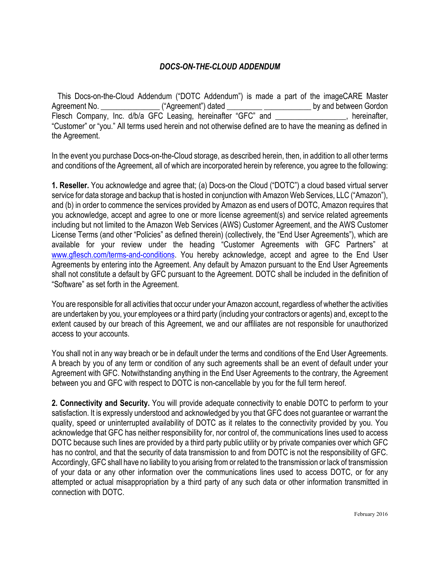## *DOCS-ON-THE-CLOUD ADDENDUM*

 This Docs-on-the-Cloud Addendum ("DOTC Addendum") is made a part of the imageCARE Master Agreement No. \_\_\_\_\_\_\_\_\_\_\_\_\_\_\_\_\_\_\_("Agreement") dated \_\_\_\_\_\_\_\_\_\_\_\_\_\_\_\_\_\_\_\_\_\_\_\_\_\_\_\_by and between Gordon Flesch Company, Inc. d/b/a GFC Leasing, hereinafter "GFC" and \_\_\_\_\_\_\_\_\_\_\_\_\_\_, hereinafter, "Customer" or "you." All terms used herein and not otherwise defined are to have the meaning as defined in the Agreement.

In the event you purchase Docs-on-the-Cloud storage, as described herein, then, in addition to all other terms and conditions of the Agreement, all of which are incorporated herein by reference, you agree to the following:

**1. Reseller.** You acknowledge and agree that; (a) Docs-on the Cloud ("DOTC") a cloud based virtual server service for data storage and backup that is hosted in conjunction with Amazon Web Services, LLC ("Amazon"), and (b) in order to commence the services provided by Amazon as end users of DOTC, Amazon requires that you acknowledge, accept and agree to one or more license agreement(s) and service related agreements including but not limited to the Amazon Web Services (AWS) Customer Agreement, and the AWS Customer License Terms (and other "Policies" as defined therein) (collectively, the "End User Agreements"), which are available for your review under the heading "Customer Agreements with GFC Partners" at [www.gflesch.com/terms-and-conditions](http://www.gflesch.com/terms-and-conditions). You hereby acknowledge, accept and agree to the End User Agreements by entering into the Agreement. Any default by Amazon pursuant to the End User Agreements shall not constitute a default by GFC pursuant to the Agreement. DOTC shall be included in the definition of "Software" as set forth in the Agreement.

You are responsible for all activities that occur under your Amazon account, regardless of whether the activities are undertaken by you, your employees or a third party (including your contractors or agents) and, except to the extent caused by our breach of this Agreement, we and our affiliates are not responsible for unauthorized access to your accounts.

You shall not in any way breach or be in default under the terms and conditions of the End User Agreements. A breach by you of any term or condition of any such agreements shall be an event of default under your Agreement with GFC. Notwithstanding anything in the End User Agreements to the contrary, the Agreement between you and GFC with respect to DOTC is non-cancellable by you for the full term hereof.

**2. Connectivity and Security.** You will provide adequate connectivity to enable DOTC to perform to your satisfaction. It is expressly understood and acknowledged by you that GFC does not guarantee or warrant the quality, speed or uninterrupted availability of DOTC as it relates to the connectivity provided by you. You acknowledge that GFC has neither responsibility for, nor control of, the communications lines used to access DOTC because such lines are provided by a third party public utility or by private companies over which GFC has no control, and that the security of data transmission to and from DOTC is not the responsibility of GFC. Accordingly, GFC shall have no liability to you arising from or related to the transmission or lack of transmission of your data or any other information over the communications lines used to access DOTC, or for any attempted or actual misappropriation by a third party of any such data or other information transmitted in connection with DOTC.